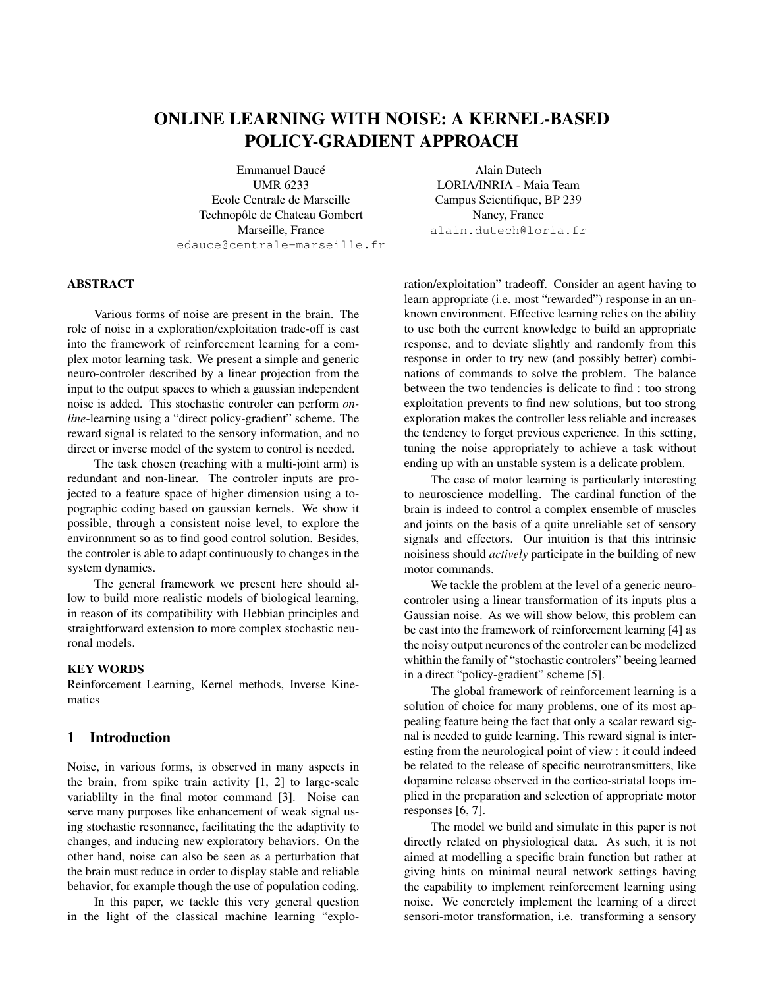# ONLINE LEARNING WITH NOISE: A KERNEL-BASED POLICY-GRADIENT APPROACH

Emmanuel Daucé UMR 6233 Ecole Centrale de Marseille Technopôle de Chateau Gombert Marseille, France edauce@centrale-marseille.fr

Alain Dutech LORIA/INRIA - Maia Team Campus Scientifique, BP 239 Nancy, France alain.dutech@loria.fr

## ABSTRACT

Various forms of noise are present in the brain. The role of noise in a exploration/exploitation trade-off is cast into the framework of reinforcement learning for a complex motor learning task. We present a simple and generic neuro-controler described by a linear projection from the input to the output spaces to which a gaussian independent noise is added. This stochastic controler can perform *online*-learning using a "direct policy-gradient" scheme. The reward signal is related to the sensory information, and no direct or inverse model of the system to control is needed.

The task chosen (reaching with a multi-joint arm) is redundant and non-linear. The controler inputs are projected to a feature space of higher dimension using a topographic coding based on gaussian kernels. We show it possible, through a consistent noise level, to explore the environnment so as to find good control solution. Besides, the controler is able to adapt continuously to changes in the system dynamics.

The general framework we present here should allow to build more realistic models of biological learning, in reason of its compatibility with Hebbian principles and straightforward extension to more complex stochastic neuronal models.

#### KEY WORDS

Reinforcement Learning, Kernel methods, Inverse Kinematics

#### 1 Introduction

Noise, in various forms, is observed in many aspects in the brain, from spike train activity [1, 2] to large-scale variablilty in the final motor command [3]. Noise can serve many purposes like enhancement of weak signal using stochastic resonnance, facilitating the the adaptivity to changes, and inducing new exploratory behaviors. On the other hand, noise can also be seen as a perturbation that the brain must reduce in order to display stable and reliable behavior, for example though the use of population coding.

In this paper, we tackle this very general question in the light of the classical machine learning "exploration/exploitation" tradeoff. Consider an agent having to learn appropriate (i.e. most "rewarded") response in an unknown environment. Effective learning relies on the ability to use both the current knowledge to build an appropriate response, and to deviate slightly and randomly from this response in order to try new (and possibly better) combinations of commands to solve the problem. The balance between the two tendencies is delicate to find : too strong exploitation prevents to find new solutions, but too strong exploration makes the controller less reliable and increases the tendency to forget previous experience. In this setting, tuning the noise appropriately to achieve a task without ending up with an unstable system is a delicate problem.

The case of motor learning is particularly interesting to neuroscience modelling. The cardinal function of the brain is indeed to control a complex ensemble of muscles and joints on the basis of a quite unreliable set of sensory signals and effectors. Our intuition is that this intrinsic noisiness should *actively* participate in the building of new motor commands.

We tackle the problem at the level of a generic neurocontroler using a linear transformation of its inputs plus a Gaussian noise. As we will show below, this problem can be cast into the framework of reinforcement learning [4] as the noisy output neurones of the controler can be modelized whithin the family of "stochastic controlers" beeing learned in a direct "policy-gradient" scheme [5].

The global framework of reinforcement learning is a solution of choice for many problems, one of its most appealing feature being the fact that only a scalar reward signal is needed to guide learning. This reward signal is interesting from the neurological point of view : it could indeed be related to the release of specific neurotransmitters, like dopamine release observed in the cortico-striatal loops implied in the preparation and selection of appropriate motor responses [6, 7].

The model we build and simulate in this paper is not directly related on physiological data. As such, it is not aimed at modelling a specific brain function but rather at giving hints on minimal neural network settings having the capability to implement reinforcement learning using noise. We concretely implement the learning of a direct sensori-motor transformation, i.e. transforming a sensory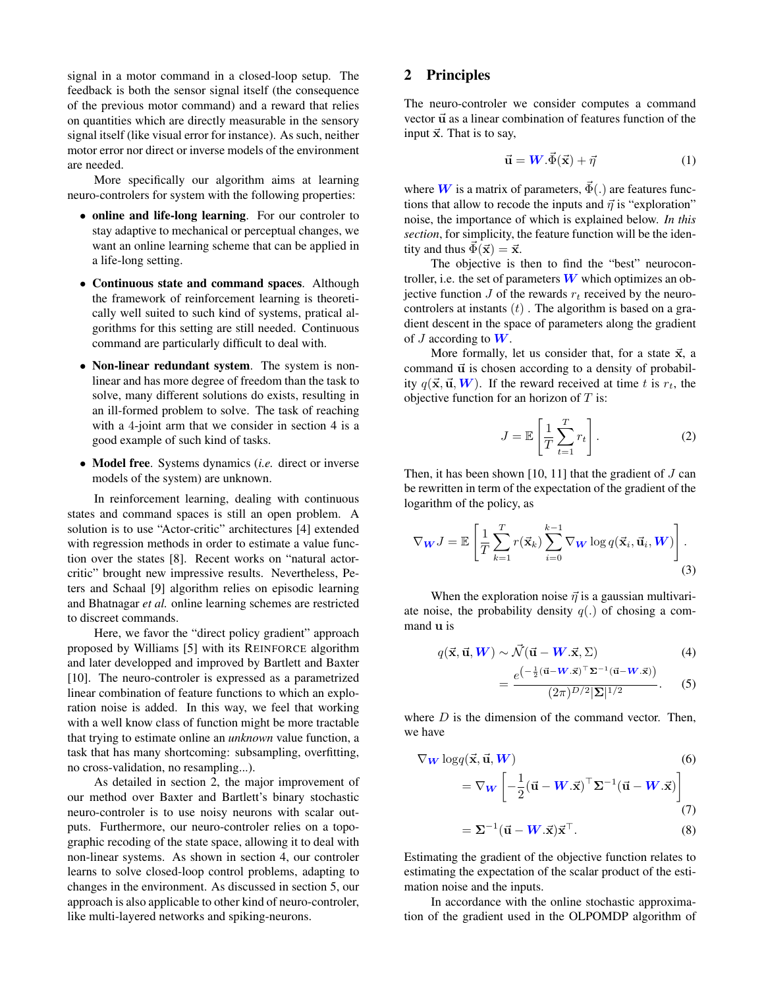signal in a motor command in a closed-loop setup. The feedback is both the sensor signal itself (the consequence of the previous motor command) and a reward that relies on quantities which are directly measurable in the sensory signal itself (like visual error for instance). As such, neither motor error nor direct or inverse models of the environment are needed.

More specifically our algorithm aims at learning neuro-controlers for system with the following properties:

- online and life-long learning. For our controler to stay adaptive to mechanical or perceptual changes, we want an online learning scheme that can be applied in a life-long setting.
- Continuous state and command spaces. Although the framework of reinforcement learning is theoretically well suited to such kind of systems, pratical algorithms for this setting are still needed. Continuous command are particularly difficult to deal with.
- Non-linear redundant system. The system is nonlinear and has more degree of freedom than the task to solve, many different solutions do exists, resulting in an ill-formed problem to solve. The task of reaching with a 4-joint arm that we consider in section 4 is a good example of such kind of tasks.
- Model free. Systems dynamics (*i.e.* direct or inverse models of the system) are unknown.

In reinforcement learning, dealing with continuous states and command spaces is still an open problem. A solution is to use "Actor-critic" architectures [4] extended with regression methods in order to estimate a value function over the states [8]. Recent works on "natural actorcritic" brought new impressive results. Nevertheless, Peters and Schaal [9] algorithm relies on episodic learning and Bhatnagar *et al.* online learning schemes are restricted to discreet commands.

Here, we favor the "direct policy gradient" approach proposed by Williams [5] with its REINFORCE algorithm and later developped and improved by Bartlett and Baxter [10]. The neuro-controler is expressed as a parametrized linear combination of feature functions to which an exploration noise is added. In this way, we feel that working with a well know class of function might be more tractable that trying to estimate online an *unknown* value function, a task that has many shortcoming: subsampling, overfitting, no cross-validation, no resampling...).

As detailed in section 2, the major improvement of our method over Baxter and Bartlett's binary stochastic neuro-controler is to use noisy neurons with scalar outputs. Furthermore, our neuro-controler relies on a topographic recoding of the state space, allowing it to deal with non-linear systems. As shown in section 4, our controler learns to solve closed-loop control problems, adapting to changes in the environment. As discussed in section 5, our approach is also applicable to other kind of neuro-controler, like multi-layered networks and spiking-neurons.

# 2 Principles

The neuro-controler we consider computes a command vector  $\vec{u}$  as a linear combination of features function of the input  $\vec{x}$ . That is to say,

$$
\vec{\mathbf{u}} = \mathbf{W}.\vec{\Phi}(\vec{\mathbf{x}}) + \vec{\eta}
$$
 (1)

where **W** is a matrix of parameters,  $\vec{\Phi}$ (.) are features functions that allow to recode the inputs and  $\vec{\eta}$  is "exploration" noise, the importance of which is explained below. *In this section*, for simplicity, the feature function will be the identity and thus  $\vec{\Phi}(\vec{\mathbf{x}}) = \vec{\mathbf{x}}$ .

The objective is then to find the "best" neurocontroller, i.e. the set of parameters  $W$  which optimizes an objective function  $J$  of the rewards  $r_t$  received by the neurocontrolers at instants  $(t)$ . The algorithm is based on a gradient descent in the space of parameters along the gradient of  $J$  according to  $W$ .

More formally, let us consider that, for a state  $\vec{x}$ , a command  $\vec{u}$  is chosen according to a density of probability  $q(\vec{x}, \vec{u}, W)$ . If the reward received at time t is  $r_t$ , the objective function for an horizon of  $T$  is:

$$
J = \mathbb{E}\left[\frac{1}{T}\sum_{t=1}^{T} r_t\right].
$$
 (2)

Then, it has been shown [10, 11] that the gradient of  $J$  can be rewritten in term of the expectation of the gradient of the logarithm of the policy, as

$$
\nabla_{\boldsymbol{W}} J = \mathbb{E}\left[\frac{1}{T} \sum_{k=1}^{T} r(\vec{\mathbf{x}}_k) \sum_{i=0}^{k-1} \nabla_{\boldsymbol{W}} \log q(\vec{\mathbf{x}}_i, \vec{\mathbf{u}}_i, \boldsymbol{W})\right].
$$
\n(3)

When the exploration noise  $\vec{\eta}$  is a gaussian multivariate noise, the probability density  $q(.)$  of chosing a command u is

$$
q(\vec{\mathbf{x}}, \vec{\mathbf{u}}, \mathbf{W}) \sim \vec{\mathcal{N}}(\vec{\mathbf{u}} - \mathbf{W}.\vec{\mathbf{x}}, \Sigma)
$$
 (4)

$$
=\frac{e^{\left(-\frac{1}{2}(\vec{\mathbf{u}}-\mathbf{W}.\vec{\mathbf{x}})^{\top}\boldsymbol{\Sigma}^{-1}(\vec{\mathbf{u}}-\mathbf{W}.\vec{\mathbf{x}})\right)}}{(2\pi)^{D/2}|\boldsymbol{\Sigma}|^{1/2}}.
$$
 (5)

where  $D$  is the dimension of the command vector. Then, we have

$$
\nabla_{\mathbf{W}} \log q(\vec{\mathbf{x}}, \vec{\mathbf{u}}, \mathbf{W})
$$
(6)  
=  $\nabla_{\mathbf{W}} \left[ -\frac{1}{2} (\vec{\mathbf{u}} - \mathbf{W} \cdot \vec{\mathbf{x}})^{\top} \Sigma^{-1} (\vec{\mathbf{u}} - \mathbf{W} \cdot \vec{\mathbf{x}}) \right]$   
=  $\Sigma^{-1} (\vec{\mathbf{u}} - \mathbf{W} \cdot \vec{\mathbf{x}}) \vec{\mathbf{x}}^{\top}$ . (8)

Estimating the gradient of the objective function relates to estimating the expectation of the scalar product of the estimation noise and the inputs.

In accordance with the online stochastic approximation of the gradient used in the OLPOMDP algorithm of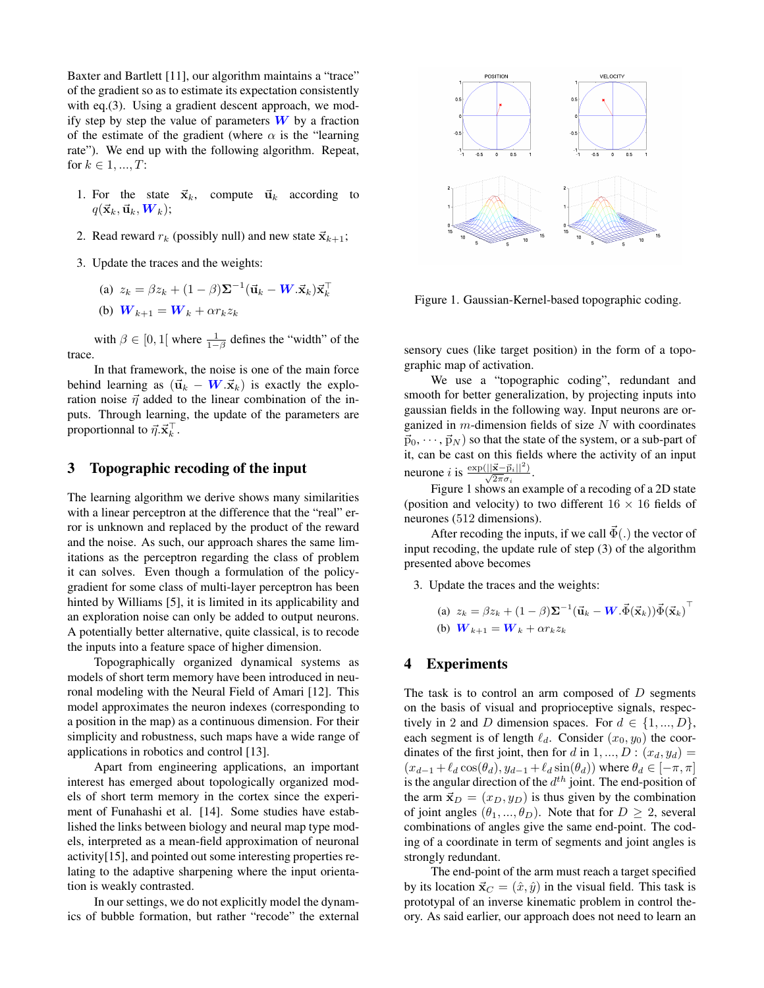Baxter and Bartlett [11], our algorithm maintains a "trace" of the gradient so as to estimate its expectation consistently with eq.(3). Using a gradient descent approach, we modify step by step the value of parameters  $W$  by a fraction of the estimate of the gradient (where  $\alpha$  is the "learning" rate"). We end up with the following algorithm. Repeat, for  $k \in 1, ..., T$ :

- 1. For the state  $\vec{x}_k$ , compute  $\vec{u}_k$  according to  $q(\vec{\mathbf{x}}_k, \vec{\mathbf{u}}_k, \bm{W}_k);$
- 2. Read reward  $r_k$  (possibly null) and new state  $\vec{x}_{k+1}$ ;
- 3. Update the traces and the weights:

(a) 
$$
z_k = \beta z_k + (1 - \beta) \Sigma^{-1} (\mathbf{u}_k - \mathbf{W} \cdot \mathbf{x}_k) \mathbf{x}_k^{\top}
$$

(b) 
$$
\boldsymbol{W}_{k+1} = \boldsymbol{W}_k + \alpha r_k z_k
$$

with  $\beta \in [0, 1]$  where  $\frac{1}{1-\beta}$  defines the "width" of the trace.

In that framework, the noise is one of the main force behind learning as  $(\vec{u}_k - W \cdot \vec{x}_k)$  is exactly the exploration noise  $\vec{\eta}$  added to the linear combination of the inputs. Through learning, the update of the parameters are proportionnal to  $\vec{\eta} \cdot \vec{\mathbf{x}}_k^{\top}$ .

## 3 Topographic recoding of the input

The learning algorithm we derive shows many similarities with a linear perceptron at the difference that the "real" error is unknown and replaced by the product of the reward and the noise. As such, our approach shares the same limitations as the perceptron regarding the class of problem it can solves. Even though a formulation of the policygradient for some class of multi-layer perceptron has been hinted by Williams [5], it is limited in its applicability and an exploration noise can only be added to output neurons. A potentially better alternative, quite classical, is to recode the inputs into a feature space of higher dimension.

Topographically organized dynamical systems as models of short term memory have been introduced in neuronal modeling with the Neural Field of Amari [12]. This model approximates the neuron indexes (corresponding to a position in the map) as a continuous dimension. For their simplicity and robustness, such maps have a wide range of applications in robotics and control [13].

Apart from engineering applications, an important interest has emerged about topologically organized models of short term memory in the cortex since the experiment of Funahashi et al. [14]. Some studies have established the links between biology and neural map type models, interpreted as a mean-field approximation of neuronal activity[15], and pointed out some interesting properties relating to the adaptive sharpening where the input orientation is weakly contrasted.

In our settings, we do not explicitly model the dynamics of bubble formation, but rather "recode" the external



Figure 1. Gaussian-Kernel-based topographic coding.

sensory cues (like target position) in the form of a topographic map of activation.

We use a "topographic coding", redundant and smooth for better generalization, by projecting inputs into gaussian fields in the following way. Input neurons are organized in  $m$ -dimension fields of size  $N$  with coordinates  $\vec{p}_0, \dots, \vec{p}_N$  so that the state of the system, or a sub-part of it, can be cast on this fields where the activity of an input neurone *i* is  $\frac{\exp(||\vec{x}-\vec{p}_i||^2)}{\sqrt{2\pi}\sigma_i}$ .  $\sqrt{2\pi}\sigma_i$ 

Figure 1 shows an example of a recoding of a 2D state (position and velocity) to two different  $16 \times 16$  fields of neurones (512 dimensions).

After recoding the inputs, if we call  $\vec{\Phi}$ (.) the vector of input recoding, the update rule of step (3) of the algorithm presented above becomes

3. Update the traces and the weights:

(a) 
$$
z_k = \beta z_k + (1 - \beta) \Sigma^{-1} (\mathbf{\vec{u}}_k - \mathbf{W} \cdot \vec{\Phi}(\mathbf{\vec{x}}_k)) \vec{\Phi}(\mathbf{\vec{x}}_k)^{\top}
$$
  
\n(b)  $\mathbf{W}_{k+1} = \mathbf{W}_k + \alpha r_k z_k$ 

## 4 Experiments

The task is to control an arm composed of  $D$  segments on the basis of visual and proprioceptive signals, respectively in 2 and D dimension spaces. For  $d \in \{1, ..., D\}$ , each segment is of length  $\ell_d$ . Consider  $(x_0, y_0)$  the coordinates of the first joint, then for d in  $1, ..., D : (x_d, y_d)$  =  $(x_{d-1} + \ell_d \cos(\theta_d), y_{d-1} + \ell_d \sin(\theta_d))$  where  $\theta_d \in [-\pi, \pi]$ is the angular direction of the  $d^{th}$  joint. The end-position of the arm  $\vec{x}_D = (x_D, y_D)$  is thus given by the combination of joint angles  $(\theta_1, ..., \theta_D)$ . Note that for  $D \geq 2$ , several combinations of angles give the same end-point. The coding of a coordinate in term of segments and joint angles is strongly redundant.

The end-point of the arm must reach a target specified by its location  $\vec{x}_C = (\hat{x}, \hat{y})$  in the visual field. This task is prototypal of an inverse kinematic problem in control theory. As said earlier, our approach does not need to learn an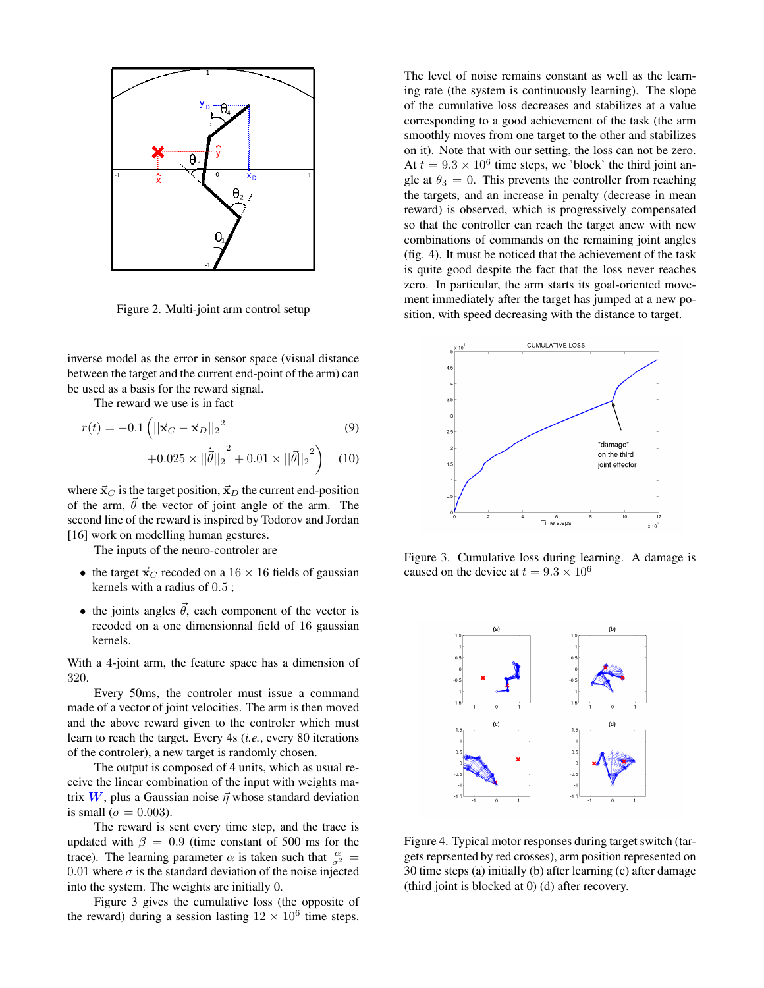

Figure 2. Multi-joint arm control setup

inverse model as the error in sensor space (visual distance between the target and the current end-point of the arm) can be used as a basis for the reward signal.

The reward we use is in fact

$$
r(t) = -0.1 \left( ||\vec{\mathbf{x}}_C - \vec{\mathbf{x}}_D||_2^2 \right)
$$
(9)

$$
+0.025 \times ||\dot{\vec{\theta}}||_2^2 + 0.01 \times ||\vec{\theta}||_2^2
$$
 (10)

where  $\vec{x}_C$  is the target position,  $\vec{x}_D$  the current end-position of the arm,  $\vec{\theta}$  the vector of joint angle of the arm. The second line of the reward is inspired by Todorov and Jordan [16] work on modelling human gestures.

The inputs of the neuro-controler are

- the target  $\vec{x}_C$  recoded on a 16  $\times$  16 fields of gaussian kernels with a radius of 0.5 ;
- the joints angles  $\vec{\theta}$ , each component of the vector is recoded on a one dimensionnal field of 16 gaussian kernels.

With a 4-joint arm, the feature space has a dimension of 320.

Every 50ms, the controler must issue a command made of a vector of joint velocities. The arm is then moved and the above reward given to the controler which must learn to reach the target. Every 4s (*i.e.*, every 80 iterations of the controler), a new target is randomly chosen.

The output is composed of 4 units, which as usual receive the linear combination of the input with weights matrix W, plus a Gaussian noise  $\vec{\eta}$  whose standard deviation is small ( $\sigma = 0.003$ ).

The reward is sent every time step, and the trace is updated with  $\beta = 0.9$  (time constant of 500 ms for the trace). The learning parameter  $\alpha$  is taken such that  $\frac{\alpha}{\sigma^2}$  = 0.01 where  $\sigma$  is the standard deviation of the noise injected into the system. The weights are initially 0.

Figure 3 gives the cumulative loss (the opposite of the reward) during a session lasting  $12 \times 10^6$  time steps.

The level of noise remains constant as well as the learning rate (the system is continuously learning). The slope of the cumulative loss decreases and stabilizes at a value corresponding to a good achievement of the task (the arm smoothly moves from one target to the other and stabilizes on it). Note that with our setting, the loss can not be zero. At  $t = 9.3 \times 10^6$  time steps, we 'block' the third joint angle at  $\theta_3 = 0$ . This prevents the controller from reaching the targets, and an increase in penalty (decrease in mean reward) is observed, which is progressively compensated so that the controller can reach the target anew with new combinations of commands on the remaining joint angles (fig. 4). It must be noticed that the achievement of the task is quite good despite the fact that the loss never reaches zero. In particular, the arm starts its goal-oriented movement immediately after the target has jumped at a new position, with speed decreasing with the distance to target.



Figure 3. Cumulative loss during learning. A damage is caused on the device at  $t = 9.3 \times 10^6$ 



Figure 4. Typical motor responses during target switch (targets reprsented by red crosses), arm position represented on 30 time steps (a) initially (b) after learning (c) after damage (third joint is blocked at 0) (d) after recovery.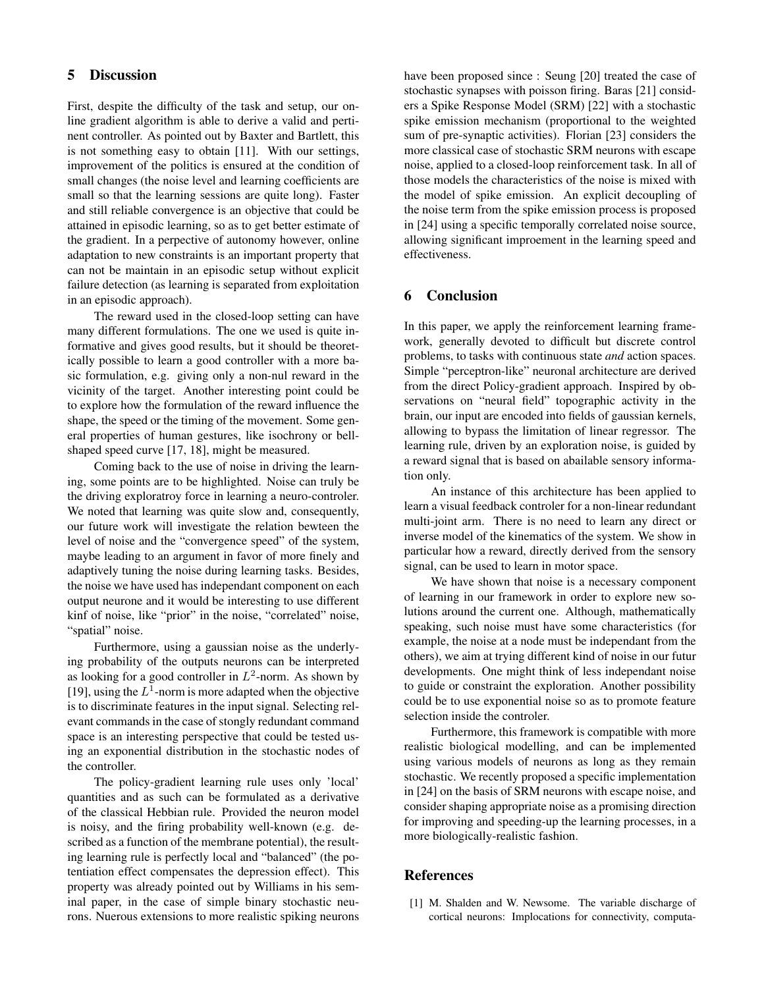## 5 Discussion

First, despite the difficulty of the task and setup, our online gradient algorithm is able to derive a valid and pertinent controller. As pointed out by Baxter and Bartlett, this is not something easy to obtain [11]. With our settings, improvement of the politics is ensured at the condition of small changes (the noise level and learning coefficients are small so that the learning sessions are quite long). Faster and still reliable convergence is an objective that could be attained in episodic learning, so as to get better estimate of the gradient. In a perpective of autonomy however, online adaptation to new constraints is an important property that can not be maintain in an episodic setup without explicit failure detection (as learning is separated from exploitation in an episodic approach).

The reward used in the closed-loop setting can have many different formulations. The one we used is quite informative and gives good results, but it should be theoretically possible to learn a good controller with a more basic formulation, e.g. giving only a non-nul reward in the vicinity of the target. Another interesting point could be to explore how the formulation of the reward influence the shape, the speed or the timing of the movement. Some general properties of human gestures, like isochrony or bellshaped speed curve [17, 18], might be measured.

Coming back to the use of noise in driving the learning, some points are to be highlighted. Noise can truly be the driving exploratroy force in learning a neuro-controler. We noted that learning was quite slow and, consequently, our future work will investigate the relation bewteen the level of noise and the "convergence speed" of the system, maybe leading to an argument in favor of more finely and adaptively tuning the noise during learning tasks. Besides, the noise we have used has independant component on each output neurone and it would be interesting to use different kinf of noise, like "prior" in the noise, "correlated" noise, "spatial" noise.

Furthermore, using a gaussian noise as the underlying probability of the outputs neurons can be interpreted as looking for a good controller in  $L^2$ -norm. As shown by [19], using the  $L^1$ -norm is more adapted when the objective is to discriminate features in the input signal. Selecting relevant commands in the case of stongly redundant command space is an interesting perspective that could be tested using an exponential distribution in the stochastic nodes of the controller.

The policy-gradient learning rule uses only 'local' quantities and as such can be formulated as a derivative of the classical Hebbian rule. Provided the neuron model is noisy, and the firing probability well-known (e.g. described as a function of the membrane potential), the resulting learning rule is perfectly local and "balanced" (the potentiation effect compensates the depression effect). This property was already pointed out by Williams in his seminal paper, in the case of simple binary stochastic neurons. Nuerous extensions to more realistic spiking neurons

have been proposed since : Seung [20] treated the case of stochastic synapses with poisson firing. Baras [21] considers a Spike Response Model (SRM) [22] with a stochastic spike emission mechanism (proportional to the weighted sum of pre-synaptic activities). Florian [23] considers the more classical case of stochastic SRM neurons with escape noise, applied to a closed-loop reinforcement task. In all of those models the characteristics of the noise is mixed with the model of spike emission. An explicit decoupling of the noise term from the spike emission process is proposed in [24] using a specific temporally correlated noise source, allowing significant improement in the learning speed and effectiveness.

## 6 Conclusion

In this paper, we apply the reinforcement learning framework, generally devoted to difficult but discrete control problems, to tasks with continuous state *and* action spaces. Simple "perceptron-like" neuronal architecture are derived from the direct Policy-gradient approach. Inspired by observations on "neural field" topographic activity in the brain, our input are encoded into fields of gaussian kernels, allowing to bypass the limitation of linear regressor. The learning rule, driven by an exploration noise, is guided by a reward signal that is based on abailable sensory information only.

An instance of this architecture has been applied to learn a visual feedback controler for a non-linear redundant multi-joint arm. There is no need to learn any direct or inverse model of the kinematics of the system. We show in particular how a reward, directly derived from the sensory signal, can be used to learn in motor space.

We have shown that noise is a necessary component of learning in our framework in order to explore new solutions around the current one. Although, mathematically speaking, such noise must have some characteristics (for example, the noise at a node must be independant from the others), we aim at trying different kind of noise in our futur developments. One might think of less independant noise to guide or constraint the exploration. Another possibility could be to use exponential noise so as to promote feature selection inside the controler.

Furthermore, this framework is compatible with more realistic biological modelling, and can be implemented using various models of neurons as long as they remain stochastic. We recently proposed a specific implementation in [24] on the basis of SRM neurons with escape noise, and consider shaping appropriate noise as a promising direction for improving and speeding-up the learning processes, in a more biologically-realistic fashion.

#### References

[1] M. Shalden and W. Newsome. The variable discharge of cortical neurons: Implocations for connectivity, computa